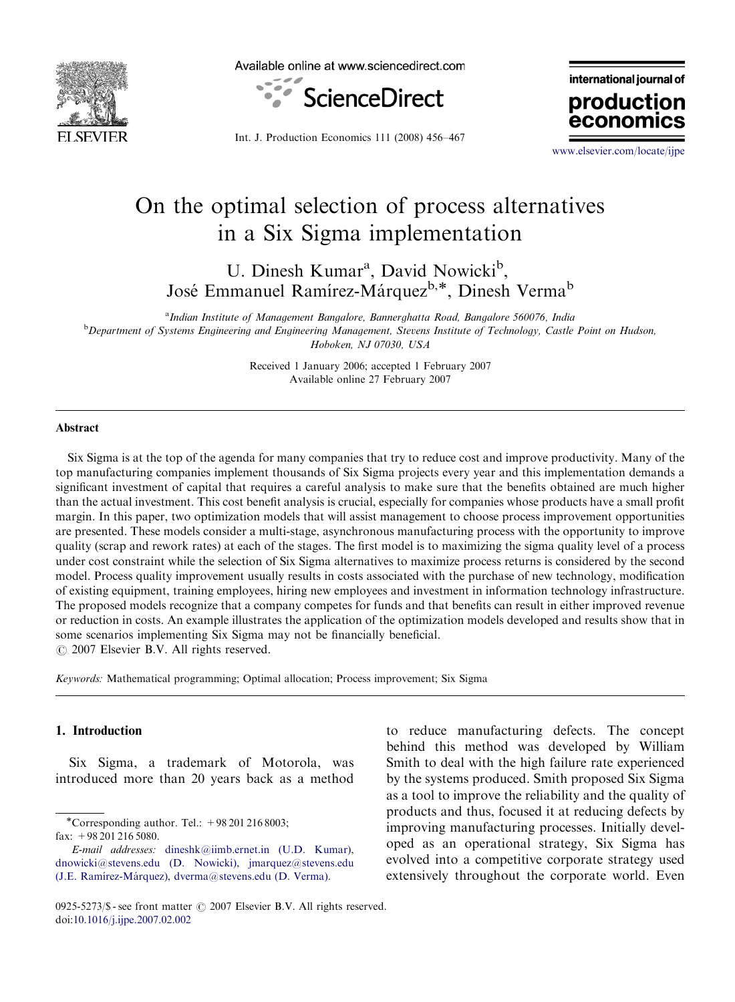

Available online at www.sciencedirect.com



international journal of production

Int. J. Production Economics 111 (2008) 456–467

<www.elsevier.com/locate/ijpe>

econ

# On the optimal selection of process alternatives in a Six Sigma implementation

U. Dinesh Kumar<sup>a</sup>, David Nowicki<sup>b</sup>, José Emmanuel Ramírez-Márquez<sup>b,\*</sup>, Dinesh Verma<sup>b</sup>

<sup>a</sup>Indian Institute of Management Bangalore, Bannerghatta Road, Bangalore 560076, India **b** Department of Systems Engineering and Engineering Management, Stevens Institute of Technology, Castle Point on Hudson, Hoboken, NJ 07030, USA

> Received 1 January 2006; accepted 1 February 2007 Available online 27 February 2007

### Abstract

Six Sigma is at the top of the agenda for many companies that try to reduce cost and improve productivity. Many of the top manufacturing companies implement thousands of Six Sigma projects every year and this implementation demands a significant investment of capital that requires a careful analysis to make sure that the benefits obtained are much higher than the actual investment. This cost benefit analysis is crucial, especially for companies whose products have a small profit margin. In this paper, two optimization models that will assist management to choose process improvement opportunities are presented. These models consider a multi-stage, asynchronous manufacturing process with the opportunity to improve quality (scrap and rework rates) at each of the stages. The first model is to maximizing the sigma quality level of a process under cost constraint while the selection of Six Sigma alternatives to maximize process returns is considered by the second model. Process quality improvement usually results in costs associated with the purchase of new technology, modification of existing equipment, training employees, hiring new employees and investment in information technology infrastructure. The proposed models recognize that a company competes for funds and that benefits can result in either improved revenue or reduction in costs. An example illustrates the application of the optimization models developed and results show that in some scenarios implementing Six Sigma may not be financially beneficial.

 $O$  2007 Elsevier B.V. All rights reserved.

Keywords: Mathematical programming; Optimal allocation; Process improvement; Six Sigma

### 1. Introduction

Six Sigma, a trademark of Motorola, was introduced more than 20 years back as a method

-Corresponding author. Tel.: +98 201 216 8003;

fax: +98 201 216 5080.

to reduce manufacturing defects. The concept behind this method was developed by William Smith to deal with the high failure rate experienced by the systems produced. Smith proposed Six Sigma as a tool to improve the reliability and the quality of products and thus, focused it at reducing defects by improving manufacturing processes. Initially developed as an operational strategy, Six Sigma has evolved into a competitive corporate strategy used extensively throughout the corporate world. Even

E-mail addresses: [dineshk@iimb.ernet.in \(U.D. Kumar\)](mailto:dineshk@iimb.ernet.in), [dnowicki@stevens.edu \(D. Nowicki\)](mailto:dnowicki@stevens.edu), [jmarquez@stevens.edu](mailto:jmarquez@stevens.edu) [\(J.E. Ramı´rez-Ma´rquez\)](mailto:jmarquez@stevens.edu), [dverma@stevens.edu \(D. Verma\).](mailto:dverma@stevens.edu)

<sup>0925-5273/\$ -</sup> see front matter  $\odot$  2007 Elsevier B.V. All rights reserved. doi[:10.1016/j.ijpe.2007.02.002](dx.doi.org/10.1016/j.ijpe.2007.02.002)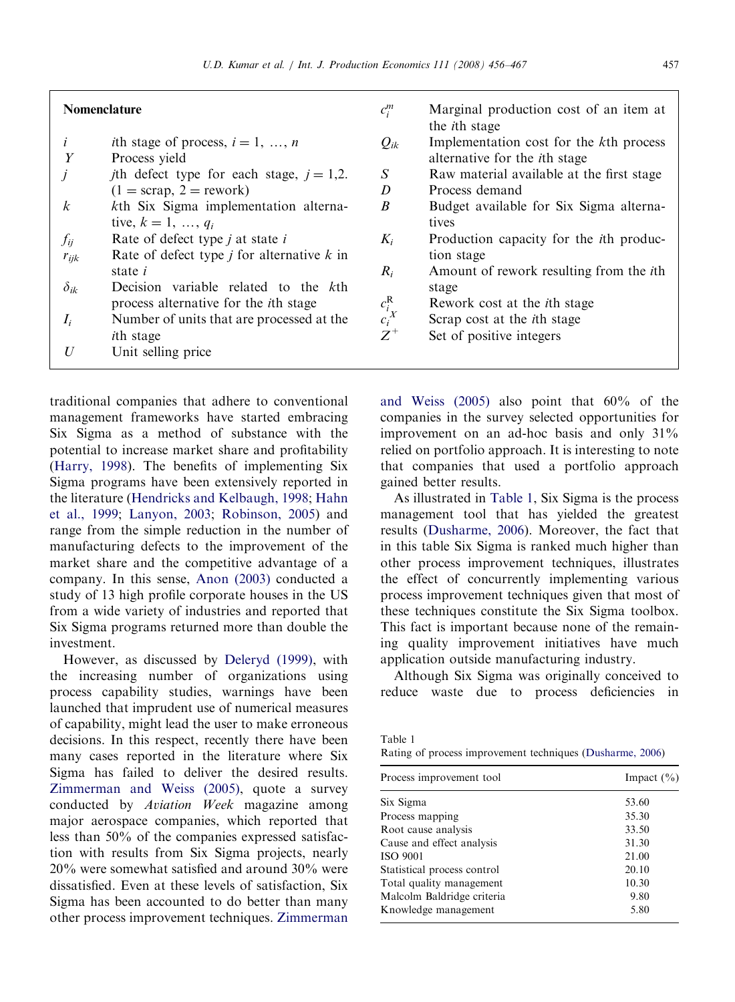#### Nomenclature

| <i>i</i> th stage of process, $i = 1, , n$ |  |
|--------------------------------------------|--|
|                                            |  |

Y Process yield

| j             | <i>j</i> th defect type for each stage, $j = 1,2$ . |
|---------------|-----------------------------------------------------|
|               | $(1 = \text{scrap}, 2 = \text{rework})$             |
| k             | kth Six Sigma implementation alterna-               |
|               | tive, $k = 1, , q_i$                                |
| $f_{ij}$      | Rate of defect type $j$ at state $i$                |
| $r_{ijk}$     | Rate of defect type $j$ for alternative $k$ in      |
|               | state <i>i</i>                                      |
| $\delta_{ik}$ | Decision variable related to the kth                |
|               | process alternative for the <i>i</i> th stage       |
| L             | Number of units that are processed at the           |

 $I_i$  Number of units that are processed at the ith stage

 $U$  Unit selling price

traditional companies that adhere to conventional management frameworks have started embracing Six Sigma as a method of substance with the potential to increase market share and profitability [\(Harry, 1998](#page--1-0)). The benefits of implementing Six Sigma programs have been extensively reported in the literature [\(Hendricks and Kelbaugh, 1998;](#page--1-0) [Hahn](#page--1-0) [et al., 1999;](#page--1-0) [Lanyon, 2003](#page--1-0); [Robinson, 2005\)](#page--1-0) and range from the simple reduction in the number of manufacturing defects to the improvement of the market share and the competitive advantage of a company. In this sense, [Anon \(2003\)](#page--1-0) conducted a study of 13 high profile corporate houses in the US from a wide variety of industries and reported that Six Sigma programs returned more than double the investment.

However, as discussed by [Deleryd \(1999\),](#page--1-0) with the increasing number of organizations using process capability studies, warnings have been launched that imprudent use of numerical measures of capability, might lead the user to make erroneous decisions. In this respect, recently there have been many cases reported in the literature where Six Sigma has failed to deliver the desired results. [Zimmerman and Weiss \(2005\),](#page--1-0) quote a survey conducted by Aviation Week magazine among major aerospace companies, which reported that less than 50% of the companies expressed satisfaction with results from Six Sigma projects, nearly 20% were somewhat satisfied and around 30% were dissatisfied. Even at these levels of satisfaction, Six Sigma has been accounted to do better than many other process improvement techniques. [Zimmerman](#page--1-0)

| $c_i^m$                       | Marginal production cost of an item at          |
|-------------------------------|-------------------------------------------------|
|                               | the <i>i</i> th stage                           |
| $Q_{ik}$                      | Implementation cost for the kth process         |
|                               | alternative for the <i>i</i> th stage           |
| S                             | Raw material available at the first stage       |
| D                             | Process demand                                  |
| B                             | Budget available for Six Sigma alterna-         |
|                               | tives                                           |
| $K_i$                         | Production capacity for the <i>i</i> th produc- |
|                               | tion stage                                      |
| $R_i$                         | Amount of rework resulting from the <i>i</i> th |
|                               | stage                                           |
| $c_i^{\mathsf{R}}$<br>$c_i^X$ | Rework cost at the <i>i</i> th stage            |
|                               | Scrap cost at the <i>i</i> th stage             |
| $Z^+$                         | Set of positive integers                        |
|                               |                                                 |

[and Weiss \(2005\)](#page--1-0) also point that 60% of the companies in the survey selected opportunities for improvement on an ad-hoc basis and only  $31\%$ relied on portfolio approach. It is interesting to note that companies that used a portfolio approach gained better results.

As illustrated in Table 1, Six Sigma is the process management tool that has yielded the greatest results ([Dusharme, 2006](#page--1-0)). Moreover, the fact that in this table Six Sigma is ranked much higher than other process improvement techniques, illustrates the effect of concurrently implementing various process improvement techniques given that most of these techniques constitute the Six Sigma toolbox. This fact is important because none of the remaining quality improvement initiatives have much application outside manufacturing industry.

Although Six Sigma was originally conceived to reduce waste due to process deficiencies in

| Table |  |
|-------|--|
|-------|--|

Rating of process improvement techniques ([Dusharme, 2006](#page--1-0))

| Process improvement tool    | Impact $(\% )$ |  |
|-----------------------------|----------------|--|
| Six Sigma                   | 53.60          |  |
| Process mapping             | 35.30          |  |
| Root cause analysis         | 33.50          |  |
| Cause and effect analysis   | 31.30          |  |
| <b>ISO 9001</b>             | 21.00          |  |
| Statistical process control | 20.10          |  |
| Total quality management    | 10.30          |  |
| Malcolm Baldridge criteria  | 9.80           |  |
| Knowledge management        | 5.80           |  |